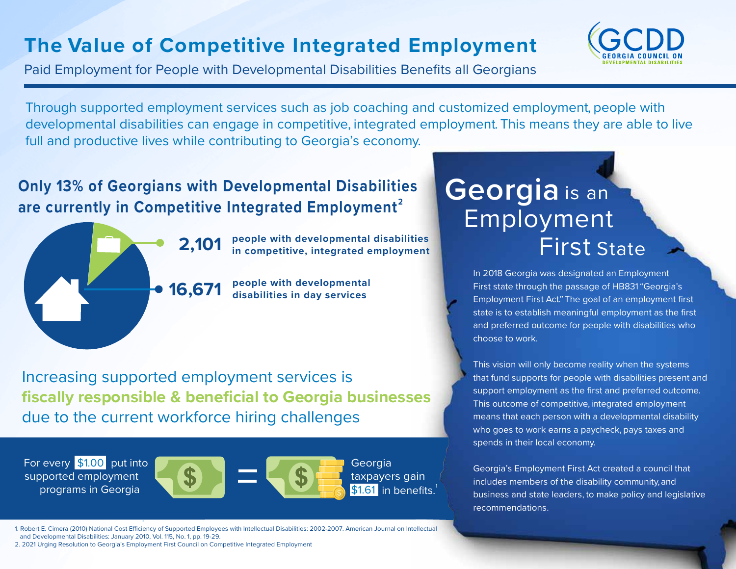## **The Value of Competitive Integrated Employment**

Paid Employment for People with Developmental Disabilities Benefits all Georgians



Through supported employment services such as job coaching and customized employment, people with developmental disabilities can engage in competitive, integrated employment. This means they are able to live full and productive lives while contributing to Georgia's economy.

## **Only 13% of Georgians with Developmental Disabilities**  are currently in Competitive Integrated Employment<sup>2</sup>



**people with developmental disabilities 2,101 in competitive, integrated employment**

**people with developmental 16,671 disabilities in day services**

Increasing supported employment services is **fiscally responsible & beneficial to Georgia businesses**  due to the current workforce hiring challenges

For every \$1.00 put into supported employment programs in Georgia



Georgia taxpayers gain \$1.61 in benefits.

## ruyun<br>Firs **Georgia** is an Employment First State

In 2018 Georgia was designated an Employment First state through the passage of HB831"Georgia's Employment First Act."The goal of an employment first state is to establish meaningful employment as the first and preferred outcome for people with disabilities who choose to work.

This vision will only become reality when the systems that fund supports for people with disabilities present and support employment as the first and preferred outcome. This outcome of competitive, integrated employment means that each person with a developmental disability who goes to work earns a paycheck, pays taxes and spends in their local economy.

Georgia's Employment First Act created a council that includes members of the disability community, and business and state leaders, to make policy and legislative recommendations.

1. Robert E. Cimera (2010) National Cost Efficiency of Supported Employees with Intellectual Disabilities: 2002-2007. American Journal on Intellectual and Developmental Disabilities: January 2010, Vol. 115, No. 1, pp. 19-29.

2. 2021 Urging Resolution to Georgia's Employment First Council on Competitive Integrated Employment

.